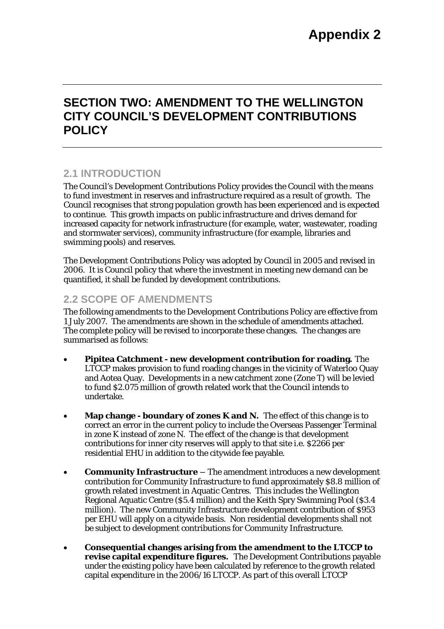# **SECTION TWO: AMENDMENT TO THE WELLINGTON CITY COUNCIL'S DEVELOPMENT CONTRIBUTIONS POLICY**

### **2.1 INTRODUCTION**

The Council's Development Contributions Policy provides the Council with the means to fund investment in reserves and infrastructure required as a result of growth. The Council recognises that strong population growth has been experienced and is expected to continue. This growth impacts on public infrastructure and drives demand for increased capacity for network infrastructure (for example, water, wastewater, roading and stormwater services), community infrastructure (for example, libraries and swimming pools) and reserves.

The Development Contributions Policy was adopted by Council in 2005 and revised in 2006. It is Council policy that where the investment in meeting new demand can be quantified, it shall be funded by development contributions.

## **2.2 SCOPE OF AMENDMENTS**

The following amendments to the Development Contributions Policy are effective from 1 July 2007. The amendments are shown in the schedule of amendments attached. The complete policy will be revised to incorporate these changes. The changes are summarised as follows:

- **Pipitea Catchment new development contribution for roading.** The LTCCP makes provision to fund roading changes in the vicinity of Waterloo Quay and Aotea Quay. Developments in a new catchment zone (Zone T) will be levied to fund \$2.075 million of growth related work that the Council intends to undertake.
- Map change boundary of zones **K** and N. The effect of this change is to correct an error in the current policy to include the Overseas Passenger Terminal in zone K instead of zone N. The effect of the change is that development contributions for inner city reserves will apply to that site i.e. \$2266 per residential EHU in addition to the citywide fee payable.
- **Community Infrastructure** The amendment introduces a new development contribution for Community Infrastructure to fund approximately \$8.8 million of growth related investment in Aquatic Centres. This includes the Wellington Regional Aquatic Centre (\$5.4 million) and the Keith Spry Swimming Pool (\$3.4 million). The new Community Infrastructure development contribution of \$953 per EHU will apply on a citywide basis. Non residential developments shall not be subject to development contributions for Community Infrastructure.
- **Consequential changes arising from the amendment to the LTCCP to revise capital expenditure figures.** The Development Contributions payable under the existing policy have been calculated by reference to the growth related capital expenditure in the 2006/16 LTCCP. As part of this overall LTCCP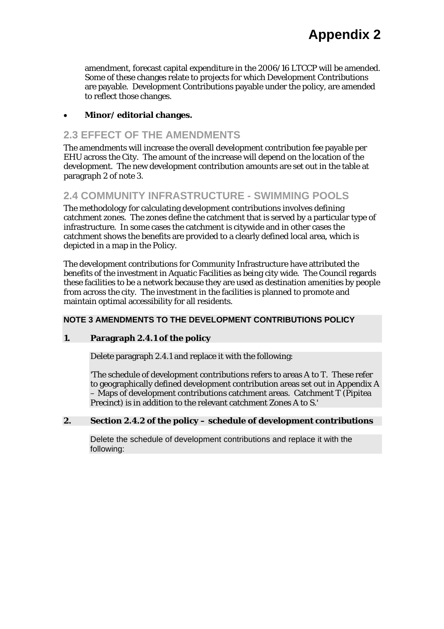amendment, forecast capital expenditure in the 2006/16 LTCCP will be amended. Some of these changes relate to projects for which Development Contributions are payable. Development Contributions payable under the policy, are amended to reflect those changes.

#### • **Minor/ editorial changes.**

### **2.3 EFFECT OF THE AMENDMENTS**

The amendments will increase the overall development contribution fee payable per EHU across the City. The amount of the increase will depend on the location of the development. The new development contribution amounts are set out in the table at paragraph 2 of *note 3.*

### **2.4 COMMUNITY INFRASTRUCTURE - SWIMMING POOLS**

The methodology for calculating development contributions involves defining catchment zones. The zones define the catchment that is served by a particular type of infrastructure. In some cases the catchment is citywide and in other cases the catchment shows the benefits are provided to a clearly defined local area, which is depicted in a map in the Policy.

The development contributions for Community Infrastructure have attributed the benefits of the investment in Aquatic Facilities as being city wide. The Council regards these facilities to be a network because they are used as destination amenities by people from across the city. The investment in the facilities is planned to promote and maintain optimal accessibility for all residents.

#### **NOTE 3 AMENDMENTS TO THE DEVELOPMENT CONTRIBUTIONS POLICY**

#### **1. Paragraph 2.4.1 of the policy**

Delete paragraph 2.4.1 and replace it with the following:

'The schedule of development contributions refers to areas A to T. These refer to geographically defined development contribution areas set out in Appendix A – Maps of development contributions catchment areas. Catchment T (Pipitea Precinct) is in addition to the relevant catchment Zones A to S.'

#### **2. Section 2.4.2 of the policy – schedule of development contributions**

Delete the schedule of development contributions and replace it with the following: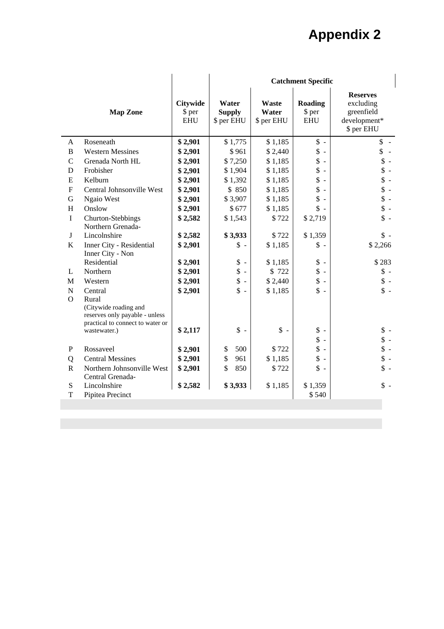# **Appendix 2**

| <b>Reserves</b><br>Water<br><b>Roading</b><br><b>Citywide</b><br>Waste<br>excluding<br><b>Supply</b><br>Water<br>\$ per<br>greenfield<br><b>Map Zone</b><br>\$ per<br>development*<br><b>EHU</b><br>\$ per EHU<br>\$ per EHU<br><b>EHU</b><br>\$ per EHU<br>$\mathsf{\$}$ -<br>Roseneath<br>\$2,901<br>\$1,775<br>\$1,185<br>\$<br>A<br>\$<br>\$<br>B<br><b>Western Messines</b><br>\$2,901<br>\$2,440<br>\$961<br>\$<br>\$7,250<br>\$<br>$\mathsf{C}$<br>Grenada North HL<br>\$2,901<br>\$1,185<br>\$<br>\$<br>Frobisher<br>\$2,901<br>\$1,904<br>\$1,185<br>D<br>\$<br>\$<br>\$1,392<br>\$1,185<br>E<br>Kelburn<br>\$2,901<br>$\sim$<br>\$<br>$\mathsf{\$}$ -<br>Central Johnsonville West<br>\$850<br>F<br>\$2,901<br>\$1,185<br>\$<br>\$<br>Ngaio West<br>G<br>\$2,901<br>\$3,907<br>\$1,185<br>$\frac{1}{2}$ -<br>\$<br>Onslow<br>\$677<br>H<br>\$2,901<br>\$1,185<br>$\frac{1}{2}$ -<br>$\mathbf{I}$<br>Churton-Stebbings<br>\$1,543<br>\$722<br>\$2,719<br>\$2,582<br>Northern Grenada-<br>\$3,933<br>$\frac{1}{2}$ -<br>J<br>Lincolnshire<br>\$2,582<br>\$722<br>\$1,359<br>\$2,266<br>$\bf K$<br>Inner City - Residential<br>\$2,901<br>\$<br>\$1,185<br>$\mathbb{S}$ -<br>$\sim$<br>Inner City - Non<br>Residential<br>\$<br>\$<br>\$283<br>\$2,901<br>\$1,185<br>$\sim$<br>$\sim$<br>\$<br>\$<br>$\frac{1}{2}$ -<br>Northern<br>\$2,901<br>\$722<br>L<br>$\sim$<br>\$<br>\$<br>$\frac{1}{2}$ -<br>\$2,901<br>\$2,440<br>M<br>Western<br>$\sim$<br>$\frac{1}{2}$ -<br>$\mathbf{\hat{S}}$<br>$\frac{1}{2}$ -<br>\$2,901<br>$\mathbf N$<br>Central<br>\$1,185<br>$\overline{a}$<br>$\Omega$<br>Rural<br>(Citywide roading and<br>reserves only payable - unless<br>practical to connect to water or<br>\$<br>$\uparrow$ -<br>$\uparrow$ -<br>$\uparrow$ -<br>\$2,117<br>$\sim$<br>wastewater.)<br>\$<br>$\frac{1}{2}$ -<br>$\sim$<br>\$<br>$\frac{1}{2}$ -<br>Rossaveel<br>\$2,901<br>500<br>\$722<br>$\mathbf P$<br>\$<br>$\sim$<br>$\frac{1}{2}$ -<br>\$<br>\$<br><b>Central Messines</b><br>\$2,901<br>961<br>\$1,185<br>Q<br>\$<br>\$<br>$\mathsf{\$}$ -<br>${\bf R}$<br>Northern Johnsonville West<br>\$2,901<br>850<br>\$722<br>$\overline{\phantom{a}}$<br>Central Grenada-<br>Lincolnshire<br>$\frac{1}{2}$ -<br>S<br>\$2,582<br>\$1,359<br>\$3,933<br>\$1,185<br>T<br>Pipitea Precinct<br>\$540 |  | <b>Catchment Specific</b> |  |  |  |  |  |
|------------------------------------------------------------------------------------------------------------------------------------------------------------------------------------------------------------------------------------------------------------------------------------------------------------------------------------------------------------------------------------------------------------------------------------------------------------------------------------------------------------------------------------------------------------------------------------------------------------------------------------------------------------------------------------------------------------------------------------------------------------------------------------------------------------------------------------------------------------------------------------------------------------------------------------------------------------------------------------------------------------------------------------------------------------------------------------------------------------------------------------------------------------------------------------------------------------------------------------------------------------------------------------------------------------------------------------------------------------------------------------------------------------------------------------------------------------------------------------------------------------------------------------------------------------------------------------------------------------------------------------------------------------------------------------------------------------------------------------------------------------------------------------------------------------------------------------------------------------------------------------------------------------------------------------------------------------------------------------------------------------------------------------------------------------------------------------------------------------------------------------------------------------------------------------------------------------------------------------------------------------------------------------------------------------------|--|---------------------------|--|--|--|--|--|
|                                                                                                                                                                                                                                                                                                                                                                                                                                                                                                                                                                                                                                                                                                                                                                                                                                                                                                                                                                                                                                                                                                                                                                                                                                                                                                                                                                                                                                                                                                                                                                                                                                                                                                                                                                                                                                                                                                                                                                                                                                                                                                                                                                                                                                                                                                                  |  |                           |  |  |  |  |  |
|                                                                                                                                                                                                                                                                                                                                                                                                                                                                                                                                                                                                                                                                                                                                                                                                                                                                                                                                                                                                                                                                                                                                                                                                                                                                                                                                                                                                                                                                                                                                                                                                                                                                                                                                                                                                                                                                                                                                                                                                                                                                                                                                                                                                                                                                                                                  |  |                           |  |  |  |  |  |
|                                                                                                                                                                                                                                                                                                                                                                                                                                                                                                                                                                                                                                                                                                                                                                                                                                                                                                                                                                                                                                                                                                                                                                                                                                                                                                                                                                                                                                                                                                                                                                                                                                                                                                                                                                                                                                                                                                                                                                                                                                                                                                                                                                                                                                                                                                                  |  |                           |  |  |  |  |  |
|                                                                                                                                                                                                                                                                                                                                                                                                                                                                                                                                                                                                                                                                                                                                                                                                                                                                                                                                                                                                                                                                                                                                                                                                                                                                                                                                                                                                                                                                                                                                                                                                                                                                                                                                                                                                                                                                                                                                                                                                                                                                                                                                                                                                                                                                                                                  |  |                           |  |  |  |  |  |
|                                                                                                                                                                                                                                                                                                                                                                                                                                                                                                                                                                                                                                                                                                                                                                                                                                                                                                                                                                                                                                                                                                                                                                                                                                                                                                                                                                                                                                                                                                                                                                                                                                                                                                                                                                                                                                                                                                                                                                                                                                                                                                                                                                                                                                                                                                                  |  |                           |  |  |  |  |  |
|                                                                                                                                                                                                                                                                                                                                                                                                                                                                                                                                                                                                                                                                                                                                                                                                                                                                                                                                                                                                                                                                                                                                                                                                                                                                                                                                                                                                                                                                                                                                                                                                                                                                                                                                                                                                                                                                                                                                                                                                                                                                                                                                                                                                                                                                                                                  |  |                           |  |  |  |  |  |
|                                                                                                                                                                                                                                                                                                                                                                                                                                                                                                                                                                                                                                                                                                                                                                                                                                                                                                                                                                                                                                                                                                                                                                                                                                                                                                                                                                                                                                                                                                                                                                                                                                                                                                                                                                                                                                                                                                                                                                                                                                                                                                                                                                                                                                                                                                                  |  |                           |  |  |  |  |  |
|                                                                                                                                                                                                                                                                                                                                                                                                                                                                                                                                                                                                                                                                                                                                                                                                                                                                                                                                                                                                                                                                                                                                                                                                                                                                                                                                                                                                                                                                                                                                                                                                                                                                                                                                                                                                                                                                                                                                                                                                                                                                                                                                                                                                                                                                                                                  |  |                           |  |  |  |  |  |
|                                                                                                                                                                                                                                                                                                                                                                                                                                                                                                                                                                                                                                                                                                                                                                                                                                                                                                                                                                                                                                                                                                                                                                                                                                                                                                                                                                                                                                                                                                                                                                                                                                                                                                                                                                                                                                                                                                                                                                                                                                                                                                                                                                                                                                                                                                                  |  |                           |  |  |  |  |  |
|                                                                                                                                                                                                                                                                                                                                                                                                                                                                                                                                                                                                                                                                                                                                                                                                                                                                                                                                                                                                                                                                                                                                                                                                                                                                                                                                                                                                                                                                                                                                                                                                                                                                                                                                                                                                                                                                                                                                                                                                                                                                                                                                                                                                                                                                                                                  |  |                           |  |  |  |  |  |
|                                                                                                                                                                                                                                                                                                                                                                                                                                                                                                                                                                                                                                                                                                                                                                                                                                                                                                                                                                                                                                                                                                                                                                                                                                                                                                                                                                                                                                                                                                                                                                                                                                                                                                                                                                                                                                                                                                                                                                                                                                                                                                                                                                                                                                                                                                                  |  |                           |  |  |  |  |  |
|                                                                                                                                                                                                                                                                                                                                                                                                                                                                                                                                                                                                                                                                                                                                                                                                                                                                                                                                                                                                                                                                                                                                                                                                                                                                                                                                                                                                                                                                                                                                                                                                                                                                                                                                                                                                                                                                                                                                                                                                                                                                                                                                                                                                                                                                                                                  |  |                           |  |  |  |  |  |
|                                                                                                                                                                                                                                                                                                                                                                                                                                                                                                                                                                                                                                                                                                                                                                                                                                                                                                                                                                                                                                                                                                                                                                                                                                                                                                                                                                                                                                                                                                                                                                                                                                                                                                                                                                                                                                                                                                                                                                                                                                                                                                                                                                                                                                                                                                                  |  |                           |  |  |  |  |  |
|                                                                                                                                                                                                                                                                                                                                                                                                                                                                                                                                                                                                                                                                                                                                                                                                                                                                                                                                                                                                                                                                                                                                                                                                                                                                                                                                                                                                                                                                                                                                                                                                                                                                                                                                                                                                                                                                                                                                                                                                                                                                                                                                                                                                                                                                                                                  |  |                           |  |  |  |  |  |
|                                                                                                                                                                                                                                                                                                                                                                                                                                                                                                                                                                                                                                                                                                                                                                                                                                                                                                                                                                                                                                                                                                                                                                                                                                                                                                                                                                                                                                                                                                                                                                                                                                                                                                                                                                                                                                                                                                                                                                                                                                                                                                                                                                                                                                                                                                                  |  |                           |  |  |  |  |  |
|                                                                                                                                                                                                                                                                                                                                                                                                                                                                                                                                                                                                                                                                                                                                                                                                                                                                                                                                                                                                                                                                                                                                                                                                                                                                                                                                                                                                                                                                                                                                                                                                                                                                                                                                                                                                                                                                                                                                                                                                                                                                                                                                                                                                                                                                                                                  |  |                           |  |  |  |  |  |
|                                                                                                                                                                                                                                                                                                                                                                                                                                                                                                                                                                                                                                                                                                                                                                                                                                                                                                                                                                                                                                                                                                                                                                                                                                                                                                                                                                                                                                                                                                                                                                                                                                                                                                                                                                                                                                                                                                                                                                                                                                                                                                                                                                                                                                                                                                                  |  |                           |  |  |  |  |  |
|                                                                                                                                                                                                                                                                                                                                                                                                                                                                                                                                                                                                                                                                                                                                                                                                                                                                                                                                                                                                                                                                                                                                                                                                                                                                                                                                                                                                                                                                                                                                                                                                                                                                                                                                                                                                                                                                                                                                                                                                                                                                                                                                                                                                                                                                                                                  |  |                           |  |  |  |  |  |
|                                                                                                                                                                                                                                                                                                                                                                                                                                                                                                                                                                                                                                                                                                                                                                                                                                                                                                                                                                                                                                                                                                                                                                                                                                                                                                                                                                                                                                                                                                                                                                                                                                                                                                                                                                                                                                                                                                                                                                                                                                                                                                                                                                                                                                                                                                                  |  |                           |  |  |  |  |  |
|                                                                                                                                                                                                                                                                                                                                                                                                                                                                                                                                                                                                                                                                                                                                                                                                                                                                                                                                                                                                                                                                                                                                                                                                                                                                                                                                                                                                                                                                                                                                                                                                                                                                                                                                                                                                                                                                                                                                                                                                                                                                                                                                                                                                                                                                                                                  |  |                           |  |  |  |  |  |
|                                                                                                                                                                                                                                                                                                                                                                                                                                                                                                                                                                                                                                                                                                                                                                                                                                                                                                                                                                                                                                                                                                                                                                                                                                                                                                                                                                                                                                                                                                                                                                                                                                                                                                                                                                                                                                                                                                                                                                                                                                                                                                                                                                                                                                                                                                                  |  |                           |  |  |  |  |  |
|                                                                                                                                                                                                                                                                                                                                                                                                                                                                                                                                                                                                                                                                                                                                                                                                                                                                                                                                                                                                                                                                                                                                                                                                                                                                                                                                                                                                                                                                                                                                                                                                                                                                                                                                                                                                                                                                                                                                                                                                                                                                                                                                                                                                                                                                                                                  |  |                           |  |  |  |  |  |
|                                                                                                                                                                                                                                                                                                                                                                                                                                                                                                                                                                                                                                                                                                                                                                                                                                                                                                                                                                                                                                                                                                                                                                                                                                                                                                                                                                                                                                                                                                                                                                                                                                                                                                                                                                                                                                                                                                                                                                                                                                                                                                                                                                                                                                                                                                                  |  |                           |  |  |  |  |  |
|                                                                                                                                                                                                                                                                                                                                                                                                                                                                                                                                                                                                                                                                                                                                                                                                                                                                                                                                                                                                                                                                                                                                                                                                                                                                                                                                                                                                                                                                                                                                                                                                                                                                                                                                                                                                                                                                                                                                                                                                                                                                                                                                                                                                                                                                                                                  |  |                           |  |  |  |  |  |
|                                                                                                                                                                                                                                                                                                                                                                                                                                                                                                                                                                                                                                                                                                                                                                                                                                                                                                                                                                                                                                                                                                                                                                                                                                                                                                                                                                                                                                                                                                                                                                                                                                                                                                                                                                                                                                                                                                                                                                                                                                                                                                                                                                                                                                                                                                                  |  |                           |  |  |  |  |  |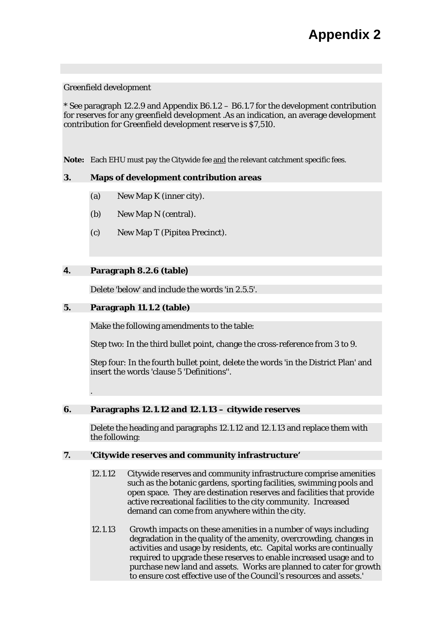#### Greenfield development

\* See paragraph 12.2.9 and Appendix B6.1.2 – B6.1.7 for the development contribution for reserves for any greenfield development .As an indication, an average development contribution for Greenfield development reserve is \$7,510.

**Note:** Each EHU must pay the Citywide fee and the relevant catchment specific fees.

#### **3. Maps of development contribution areas**

- (a) New Map K (inner city).
- (b) New Map N (central).
- (c) New Map T (Pipitea Precinct).

#### **4. Paragraph 8.2.6 (table)**

Delete 'below' and include the words 'in 2.5.5'.

#### **5. Paragraph 11.1.2 (table)**

.

Make the following amendments to the table:

Step two: In the third bullet point, change the cross-reference from 3 to 9.

Step four: In the fourth bullet point, delete the words 'in the District Plan' and insert the words 'clause 5 'Definitions''.

#### **6. Paragraphs 12.1.12 and 12.1.13 – citywide reserves**

Delete the heading and paragraphs 12.1.12 and 12.1.13 and replace them with the following:

#### **7. 'Citywide reserves and community infrastructure'**

- 12.1.12 Citywide reserves and community infrastructure comprise amenities such as the botanic gardens, sporting facilities, swimming pools and open space. They are destination reserves and facilities that provide active recreational facilities to the city community. Increased demand can come from anywhere within the city.
- 12.1.13 Growth impacts on these amenities in a number of ways including degradation in the quality of the amenity, overcrowding, changes in activities and usage by residents, etc. Capital works are continually required to upgrade these reserves to enable increased usage and to purchase new land and assets. Works are planned to cater for growth to ensure cost effective use of the Council's resources and assets.'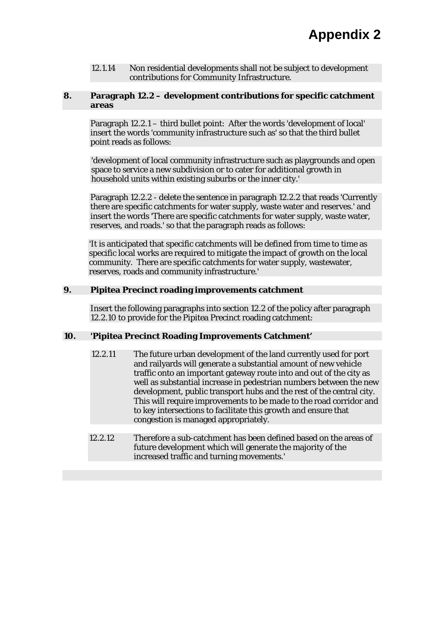12.1.14 Non residential developments shall not be subject to development contributions for Community Infrastructure.

#### **8. Paragraph 12.2 – development contributions for specific catchment areas**

Paragraph 12.2.1 – third bullet point: After the words 'development of local' insert the words 'community infrastructure such as' so that the third bullet point reads as follows:

'development of local community infrastructure such as playgrounds and open space to service a new subdivision or to cater for additional growth in household units within existing suburbs or the inner city.'

Paragraph 12.2.2 - delete the sentence in paragraph 12.2.2 that reads 'Currently there are specific catchments for water supply, waste water and reserves.' and insert the words 'There are specific catchments for water supply, waste water, reserves, and roads.' so that the paragraph reads as follows:

'It is anticipated that specific catchments will be defined from time to time as specific local works are required to mitigate the impact of growth on the local community. There are specific catchments for water supply, wastewater, reserves, roads and community infrastructure.'

#### **9. Pipitea Precinct roading improvements catchment**

Insert the following paragraphs into section 12.2 of the policy after paragraph 12.2.10 to provide for the Pipitea Precinct roading catchment:

#### **10. 'Pipitea Precinct Roading Improvements Catchment'**

- 12.2.11 The future urban development of the land currently used for port and railyards will generate a substantial amount of new vehicle traffic onto an important gateway route into and out of the city as well as substantial increase in pedestrian numbers between the new development, public transport hubs and the rest of the central city. This will require improvements to be made to the road corridor and to key intersections to facilitate this growth and ensure that congestion is managed appropriately.
- 12.2.12 Therefore a sub-catchment has been defined based on the areas of future development which will generate the majority of the increased traffic and turning movements.'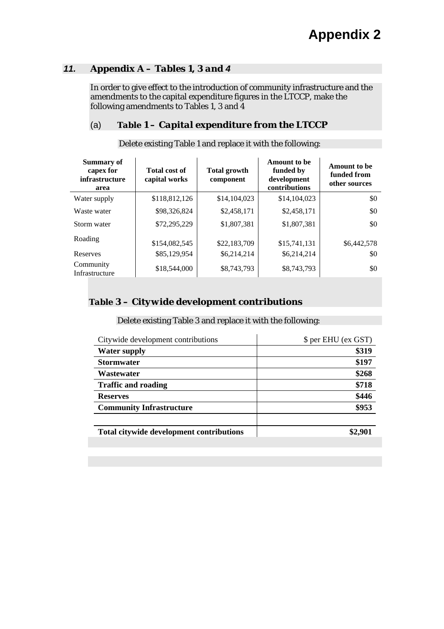#### *11. Appendix A – Tables 1, 3 and 4*

In order to give effect to the introduction of community infrastructure and the amendments to the capital expenditure figures in the LTCCP, make the following amendments to Tables 1, 3 and 4

#### (a) *Table 1 – Capital expenditure from the LTCCP*

| <b>Summary of</b><br>capex for<br>infrastructure<br>area | <b>Total cost of</b><br>capital works | <b>Total growth</b><br>component | <b>Amount to be</b><br>funded by<br>development<br>contributions | <b>Amount to be</b><br>funded from<br>other sources |
|----------------------------------------------------------|---------------------------------------|----------------------------------|------------------------------------------------------------------|-----------------------------------------------------|
| Water supply                                             | \$118,812,126                         | \$14,104,023                     | \$14,104,023                                                     | $\$0$                                               |
| Waste water                                              | \$98,326,824                          | \$2,458,171                      | \$2,458,171                                                      | $\$0$                                               |
| Storm water                                              | \$72,295,229                          | \$1,807,381                      | \$1,807,381                                                      | \$0                                                 |
| Roading<br>Reserves                                      | \$154,082,545<br>\$85,129,954         | \$22,183,709<br>\$6,214,214      | \$15,741,131<br>\$6,214,214                                      | \$6,442,578<br>$\$0$                                |
|                                                          |                                       |                                  |                                                                  |                                                     |
| Community<br>Infrastructure                              | \$18,544,000                          | \$8,743,793                      | \$8,743,793                                                      | $\$0$                                               |

#### Delete existing Table 1 and replace it with the following:

#### *Table 3 – Citywide development contributions*

#### Delete existing Table 3 and replace it with the following:

| Citywide development contributions       | \$ per EHU (ex GST) |
|------------------------------------------|---------------------|
| <b>Water supply</b>                      | \$319               |
| <b>Stormwater</b>                        | \$197               |
| Wastewater                               | \$268               |
| <b>Traffic and roading</b>               | \$718               |
| <b>Reserves</b>                          | \$446               |
| <b>Community Infrastructure</b>          | \$953               |
|                                          |                     |
| Total citywide development contributions | \$2,901             |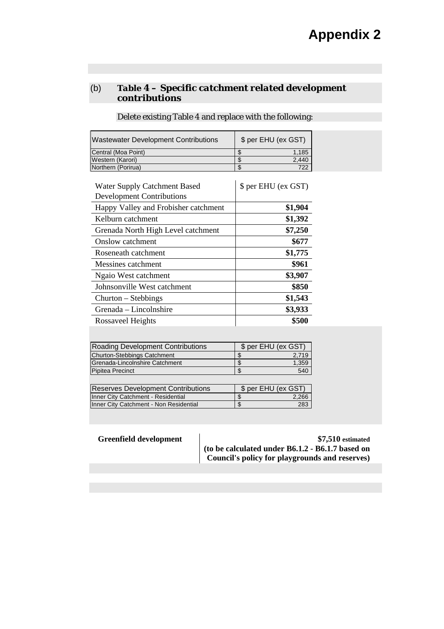#### (b) *Table 4 – Specific catchment related development contributions*

Delete existing Table 4 and replace with the following:

Wastewater Development Contributions | \$ per EHU (ex GST) Central (Moa Point)  $\begin{array}{ccc} 1,185 \ \text{Western (Karori)} & \text{S} & \text{S} \\ \end{array}$ Western (Karori)

Northern (Porirua) **1988 1988 1988 1988 1988 1988 1988 1988 1988 1988 1988 1988 1988 1988 1988 1988 1988 1988 1988 1988 1988 1988 1988 1988 1988 1988 1988 1988 1988**

| <b>Water Supply Catchment Based</b>  | \$ per EHU (ex GST) |
|--------------------------------------|---------------------|
| <b>Development Contributions</b>     |                     |
| Happy Valley and Frobisher catchment | \$1,904             |
| Kelburn catchment                    | \$1,392             |
| Grenada North High Level catchment   | \$7,250             |
| Onslow catchment                     | \$677               |
| Roseneath catchment                  | \$1,775             |
| Messines catchment                   | \$961               |
| Ngaio West catchment                 | \$3,907             |
| Johnsonville West catchment          | \$850               |
| Churton – Stebbings                  | \$1,543             |
| Grenada – Lincolnshire               | \$3,933             |
| Rossaveel Heights                    | \$500               |

| Roading Development Contributions         | \$ per EHU (ex GST) |
|-------------------------------------------|---------------------|
| Churton-Stebbings Catchment               | 2,719               |
| Grenada-Lincolnshire Catchment            | 1,359               |
| Pipitea Precinct                          | 540                 |
|                                           |                     |
| <b>Reserves Development Contributions</b> | \$ per EHU (ex GST) |
| Inner City Catchment - Residential        | \$<br>2.266         |

Inner City Catchment - Non Residential **\$** 283

**Greenfield development**  $\qquad$  **\$7,510** estimated **(to be calculated under B6.1.2 - B6.1.7 based on Council's policy for playgrounds and reserves)**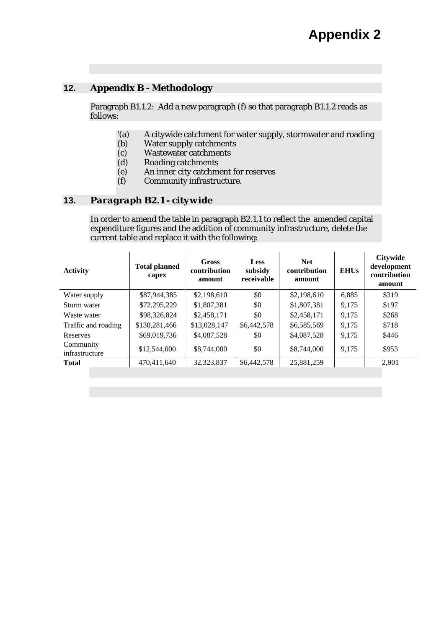# **12.** *Appendix B - Methodology*

Paragraph B1.1.2: Add a new paragraph (f) so that paragraph B1.1.2 reads as follows:

- '(a) A citywide catchment for water supply, stormwater and roading
- (b) Water supply catchments
- (c) Wastewater catchments<br>
(d) Roading catchments
- Roading catchments
- (e) An inner city catchment for reserves
- (f) Community infrastructure.

#### **13.** *Paragraph B2.1 - citywide*

In order to amend the table in paragraph B2.1.1 to reflect the amended capital expenditure figures and the addition of community infrastructure, delete the current table and replace it with the following:

| <b>Activity</b>             | <b>Total planned</b><br>capex | <b>Gross</b><br>contribution<br>amount | Less<br>subsidy<br>receivable | <b>Net</b><br>contribution<br>amount | <b>EHUs</b> | <b>Citywide</b><br>development<br>contribution<br>amount |
|-----------------------------|-------------------------------|----------------------------------------|-------------------------------|--------------------------------------|-------------|----------------------------------------------------------|
| Water supply                | \$87,944,385                  | \$2,198,610                            | \$0                           | \$2,198,610                          | 6,885       | \$319                                                    |
| Storm water                 | \$72,295,229                  | \$1,807,381                            | \$0                           | \$1,807,381                          | 9,175       | \$197                                                    |
| Waste water                 | \$98,326,824                  | \$2,458,171                            | \$0                           | \$2,458,171                          | 9,175       | \$268                                                    |
| Traffic and roading         | \$130,281,466                 | \$13,028,147                           | \$6,442,578                   | \$6,585,569                          | 9,175       | \$718                                                    |
| Reserves                    | \$69,019,736                  | \$4,087,528                            | \$0                           | \$4,087,528                          | 9,175       | \$446                                                    |
| Community<br>infrastructure | \$12,544,000                  | \$8,744,000                            | \$0                           | \$8,744,000                          | 9,175       | \$953                                                    |
| <b>Total</b>                | 470,411,640                   | 32, 323, 837                           | \$6,442,578                   | 25,881,259                           |             | 2,901                                                    |
|                             |                               |                                        |                               |                                      |             |                                                          |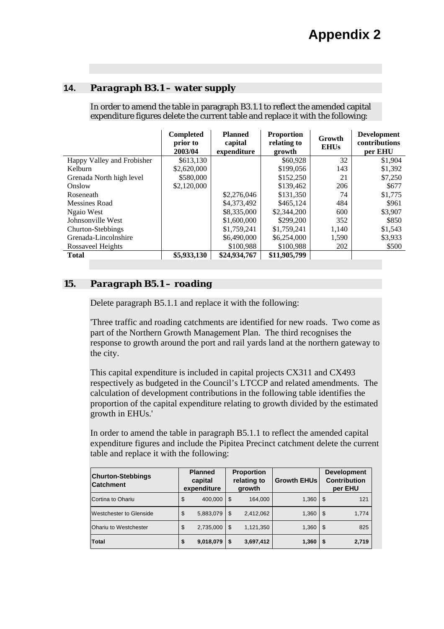#### **14.** *Paragraph B3.1 – water supply*

In order to amend the table in paragraph B3.1.1 to reflect the amended capital expenditure figures delete the current table and replace it with the following:

|                            | <b>Completed</b><br>prior to<br>2003/04 | <b>Planned</b><br>capital<br>expenditure | <b>Proportion</b><br>relating to<br>growth | Growth<br><b>EHUs</b> | <b>Development</b><br>contributions<br>per EHU |
|----------------------------|-----------------------------------------|------------------------------------------|--------------------------------------------|-----------------------|------------------------------------------------|
| Happy Valley and Frobisher | \$613,130                               |                                          | \$60,928                                   | 32                    | \$1,904                                        |
| Kelburn                    | \$2,620,000                             |                                          | \$199,056                                  | 143                   | \$1,392                                        |
| Grenada North high level   | \$580,000                               |                                          | \$152,250                                  | 21                    | \$7,250                                        |
| Onslow                     | \$2,120,000                             |                                          | \$139,462                                  | 206                   | \$677                                          |
| Roseneath                  |                                         | \$2,276,046                              | \$131,350                                  | 74                    | \$1,775                                        |
| Messines Road              |                                         | \$4,373,492                              | \$465,124                                  | 484                   | \$961                                          |
| Ngaio West                 |                                         | \$8,335,000                              | \$2,344,200                                | 600                   | \$3,907                                        |
| Johnsonville West          |                                         | \$1,600,000                              | \$299,200                                  | 352                   | \$850                                          |
| Churton-Stebbings          |                                         | \$1,759,241                              | \$1,759,241                                | 1,140                 | \$1,543                                        |
| Grenada-Lincolnshire       |                                         | \$6,490,000                              | \$6,254,000                                | 1,590                 | \$3,933                                        |
| Rossaveel Heights          |                                         | \$100,988                                | \$100,988                                  | 202                   | \$500                                          |
| <b>Total</b>               | \$5,933,130                             | \$24,934,767                             | \$11,905,799                               |                       |                                                |

#### *15. Paragraph B5.1 – roading*

Delete paragraph B5.1.1 and replace it with the following:

'Three traffic and roading catchments are identified for new roads. Two come as part of the Northern Growth Management Plan. The third recognises the response to growth around the port and rail yards land at the northern gateway to the city.

This capital expenditure is included in capital projects CX311 and CX493 respectively as budgeted in the Council's LTCCP and related amendments. The calculation of development contributions in the following table identifies the proportion of the capital expenditure relating to growth divided by the estimated growth in EHUs.'

In order to amend the table in paragraph B5.1.1 to reflect the amended capital expenditure figures and include the Pipitea Precinct catchment delete the current table and replace it with the following:

| <b>Churton-Stebbings</b><br><b>ICatchment</b> |    | <b>Planned</b><br>capital<br>expenditure |      | <b>Proportion</b><br>relating to<br>growth | <b>Growth EHUs</b> | <b>Development</b><br><b>Contribution</b><br>per EHU |       |
|-----------------------------------------------|----|------------------------------------------|------|--------------------------------------------|--------------------|------------------------------------------------------|-------|
| Cortina to Ohariu                             | \$ | 400.000                                  | ' \$ | 164.000                                    | 1,360              | \$.                                                  | 121   |
| <b>IWestchester to Glenside</b>               | \$ | 5,883,079                                | ' \$ | 2,412,062                                  | 1,360              | \$                                                   | 1,774 |
| <b>Ohariu to Westchester</b>                  | \$ | 2,735,000                                | l \$ | 1,121,350                                  | 1,360              | \$.                                                  | 825   |
| <b>Total</b>                                  | \$ | 9,018,079                                |      | 3,697,412                                  | 1,360              | S                                                    | 2,719 |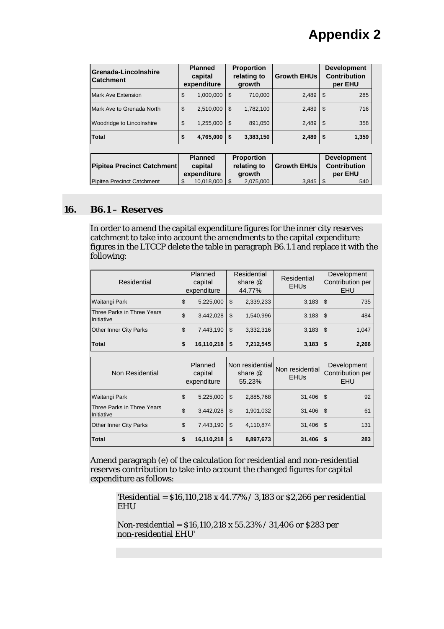| Grenada-Lincolnshire<br><b>Catchment</b> | <b>Planned</b><br>capital<br>expenditure |           | <b>Proportion</b><br>relating to<br>growth |           | <b>Growth EHUs</b> | <b>Development</b><br><b>Contribution</b><br>per EHU |       |
|------------------------------------------|------------------------------------------|-----------|--------------------------------------------|-----------|--------------------|------------------------------------------------------|-------|
| Mark Ave Extension                       | \$                                       | 1,000,000 | $\mathbf{\$}$                              | 710,000   | 2,489              | \$                                                   | 285   |
| Mark Ave to Grenada North                | \$                                       | 2,510,000 | l \$                                       | 1,782,100 | 2,489              | \$                                                   | 716   |
| Woodridge to Lincolnshire                | \$                                       | 1,255,000 | l \$                                       | 891,050   | 2,489              | \$                                                   | 358   |
| <b>Total</b>                             | \$                                       | 4,765,000 | S                                          | 3,383,150 | 2,489              | - 5                                                  | 1,359 |

| Pipitea Precinct Catchment | <b>Planned</b><br>capital<br>expenditure | <b>Proportion</b><br>relating to<br>arowth | <b>Growth EHUs</b> | <b>Development</b><br><b>Contribution</b><br>per EHU |
|----------------------------|------------------------------------------|--------------------------------------------|--------------------|------------------------------------------------------|
| Pipitea Precinct Catchment | $10.018,000$   \$<br>ъ                   | 2.075.000                                  | 3.845              | 540                                                  |

#### *16. B6.1 – Reserves*

In order to amend the capital expenditure figures for the inner city reserves catchment to take into account the amendments to the capital expenditure figures in the LTCCP delete the table in paragraph B6.1.1 and replace it with the following:

| Residential                              | Planned<br>capital<br>expenditure |            | Residential<br>share $@$<br>44.77% |                                        | Residential<br><b>EHUs</b>     |               | Development<br>Contribution per<br><b>EHU</b> |
|------------------------------------------|-----------------------------------|------------|------------------------------------|----------------------------------------|--------------------------------|---------------|-----------------------------------------------|
| Waitangi Park                            | \$                                | 5,225,000  | \$                                 | 2,339,233                              | 3,183                          | \$            | 735                                           |
| Three Parks in Three Years<br>Initiative | \$                                | 3,442,028  | \$                                 | 1,540,996                              | 3,183                          | \$            | 484                                           |
| <b>Other Inner City Parks</b>            | \$                                | 7,443,190  | \$                                 | 3,332,316                              | 3,183                          | \$            | 1,047                                         |
| Total                                    |                                   | 16,110,218 | \$                                 | 7,212,545                              | 3,183                          | \$            | 2,266                                         |
| Non Residential                          | Planned<br>capital<br>expenditure |            |                                    | Non residential<br>share $@$<br>55.23% | Non residential<br><b>EHUs</b> |               | Development<br>Contribution per<br><b>EHU</b> |
| Waitangi Park                            | \$                                | 5,225,000  | \$                                 | 2,885,768                              | 31,406                         | \$            | 92                                            |
| Three Parks in Three Years<br>Initiative | \$                                | 3,442,028  | \$                                 | 1,901,032                              | 31,406                         | $\mathsf{\$}$ | 61                                            |
| Other Inner City Parks                   | \$                                | 7,443,190  | \$                                 | 4,110,874                              | 31,406                         | $\mathsf{\$}$ | 131                                           |
| Total                                    | \$                                | 16,110,218 | \$                                 | 8,897,673                              | 31,406                         | \$            | 283                                           |

Amend paragraph (e) of the calculation for residential and non-residential reserves contribution to take into account the changed figures for capital expenditure as follows:

> 'Residential = \$16,110,218 x 44.77% / 3,183 or \$2,266 per residential EHU

Non-residential = \$16,110,218 x 55.23% / 31,406 or \$283 per non-residential EHU'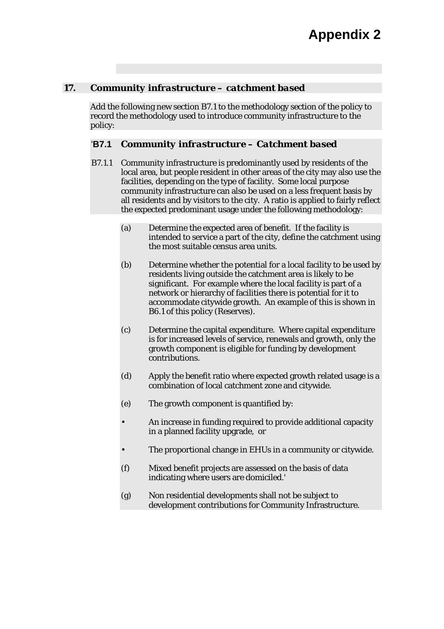#### *17. Community infrastructure – catchment based*

Add the following new section B7.1 to the methodology section of the policy to record the methodology used to introduce community infrastructure to the policy:

#### '**B7.1** *Community infrastructure – Catchment based*

- B7.1.1 Community infrastructure is predominantly used by residents of the local area, but people resident in other areas of the city may also use the facilities, depending on the type of facility. Some local purpose community infrastructure can also be used on a less frequent basis by all residents and by visitors to the city. A ratio is applied to fairly reflect the expected predominant usage under the following methodology:
	- (a) Determine the expected area of benefit. If the facility is intended to service a part of the city, define the catchment using the most suitable census area units.
	- (b) Determine whether the potential for a local facility to be used by residents living outside the catchment area is likely to be significant. For example where the local facility is part of a network or hierarchy of facilities there is potential for it to accommodate citywide growth. An example of this is shown in B6.1 of this policy (Reserves).
	- (c) Determine the capital expenditure. Where capital expenditure is for increased levels of service, renewals and growth, only the growth component is eligible for funding by development contributions.
	- (d) Apply the benefit ratio where expected growth related usage is a combination of local catchment zone and citywide.
	- (e) The growth component is quantified by:
	- An increase in funding required to provide additional capacity in a planned facility upgrade, or
	- The proportional change in EHUs in a community or citywide.
	- (f) Mixed benefit projects are assessed on the basis of data indicating where users are domiciled.'
	- (g) Non residential developments shall not be subject to development contributions for Community Infrastructure.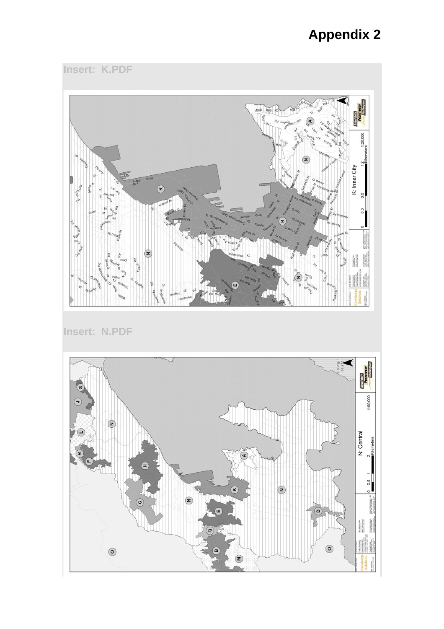# **Appendix 2**

**Insert: K.PDF** 



**Insert: N.PDF**